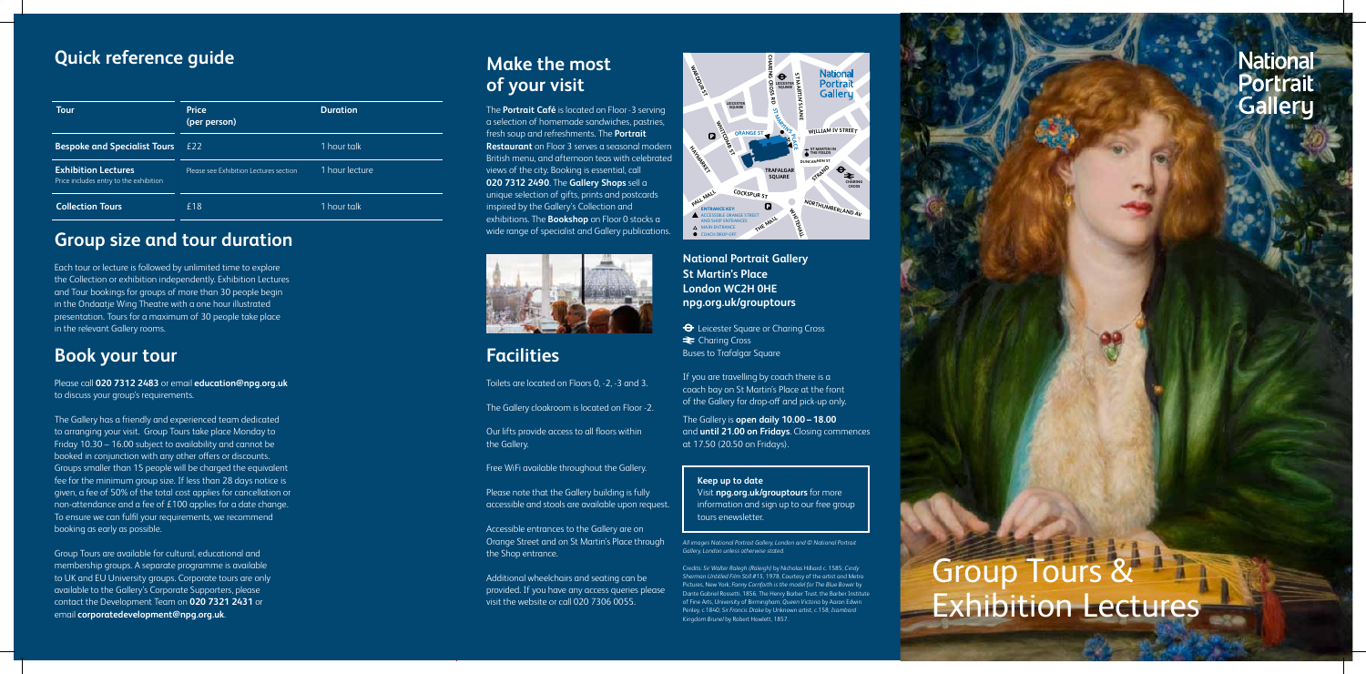**National Portrait Gallery St Martin's Place London WC2H 0HE npg.org.uk/grouptours**

 $\Theta$  Leicester Square or Charing Cross **E** Charing Cross Buses to Trafalgar Square

If you are travelling by coach there is a coach bay on St Martin's Place at the front of the Gallery for drop-off and pick-up only.

The Gallery is **open daily 10.00 – 18.00** and **until 21.00 on Fridays**. Closing commences at 17.50 (20.50 on Fridays).

> Group Tours & Exhibition Lectures

| <b>Tour</b>                                                          | <b>Price</b><br>(per person)           | <b>Duration</b> |
|----------------------------------------------------------------------|----------------------------------------|-----------------|
| <b>Bespoke and Specialist Tours</b>                                  | £22                                    | 1 hour talk     |
| <b>Exhibition Lectures</b><br>Price includes entry to the exhibition | Please see Exhibition Lectures section | 1 hour lecture  |
| <b>Collection Tours</b>                                              | £18                                    | 1 hour talk     |

# **Group size and tour duration**

Each tour or lecture is followed by unlimited time to explore the Collection or exhibition independently. Exhibition Lectures and Tour bookings for groups of more than 30 people begin in the Ondaatje Wing Theatre with a one hour illustrated presentation. Tours for a maximum of 30 people take place in the relevant Gallery rooms.

# **Book your tour**

Please call **020 7312 2483** or email **education@npg.org.uk** to discuss your group's requirements.

The Gallery has a friendly and experienced team dedicated to arranging your visit. Group Tours take place Monday to Friday 10.30 – 16.00 subject to availability and cannot be booked in conjunction with any other offers or discounts. Groups smaller than 15 people will be charged the equivalent fee for the minimum group size. If less than 28 days notice is given, a fee of 50% of the total cost applies for cancellation or non-attendance and a fee of £100 applies for a date change. To ensure we can fulfil your requirements, we recommend booking as early as possible.

# **z**<br> **Quick reference guide Wake the most Make the most of your visit**

Group Tours are available for cultural, educational and membership groups. A separate programme is available to UK and EU University groups. Corporate tours are only available to the Gallery's Corporate Supporters, please contact the Development Team on **020 7321 2431** or email **corporatedevelopment@npg.org.uk**.



*All images National Portrait Gallery, London and © National Portrait Gallery, London unless otherwise stated.*

Credits: *Sir Walter Ralegh (Raleigh)* by Nicholas Hilliard c. 1585; *Cindy Sherman Untitled Film Still #15*, 1978, Courtesy of the artist and Metro Pictures, New York; *Fanny Cornforth is the model for The Blue Bower* by Dante Gabriel Rossetti, 1856, The Henry Barber Trust, the Barber Institute of Fine Arts, University of Birmingham; *Queen Victoria* by Aaron Edwin Penley, c.1840; *Sir Francis Drake* by Unknown artist, c.158; *Isambard Kingdom Brunel* by Robert Howlett, 1857.

# **National** Portrait **Gallery**

### **Keep up to date**

Visit **npg.org.uk/grouptours** for more information and sign up to our free group tours enewsletter.

The **Portrait Café** is located on Floor -3 serving a selection of homemade sandwiches, pastries, fresh soup and refreshments. The **Portrait Restaurant** on Floor 3 serves a seasonal modern British menu, and afternoon teas with celebrated views of the city. Booking is essential, call **020 7312 2490**. The **Gallery Shops** sell a unique selection of gifts, prints and postcards inspired by the Gallery's Collection and exhibitions. The **Bookshop** on Floor 0 stocks a wide range of specialist and Gallery publications.



# **Facilities**

Toilets are located on Floors 0, -2, -3 and 3.

The Gallery cloakroom is located on Floor -2.

Our lifts provide access to all floors within the Gallery.

Free WiFi available throughout the Gallery.

Please note that the Gallery building is fully accessible and stools are available upon request.

Accessible entrances to the Gallery are on Orange Street and on St Martin's Place through the Shop entrance.

Additional wheelchairs and seating can be provided. If you have any access queries please visit the website or call 020 7306 0055.